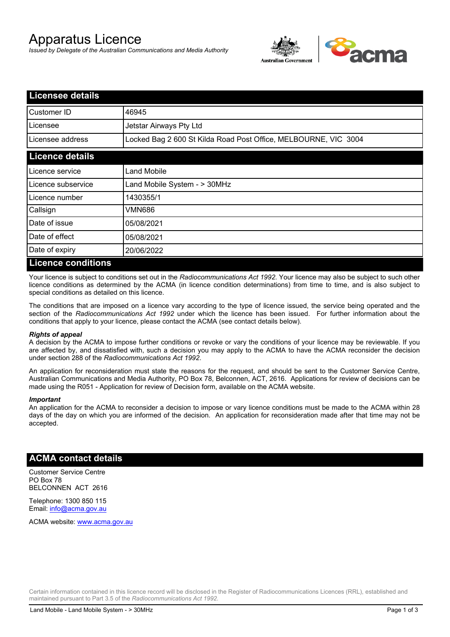# Apparatus Licence

*Issued by Delegate of the Australian Communications and Media Authority*



| <b>Licensee details</b>   |                                                                 |  |
|---------------------------|-----------------------------------------------------------------|--|
| Customer ID               | 46945                                                           |  |
| Licensee                  | Jetstar Airways Pty Ltd                                         |  |
| Licensee address          | Locked Bag 2 600 St Kilda Road Post Office, MELBOURNE, VIC 3004 |  |
| <b>Licence details</b>    |                                                                 |  |
| Licence service           | <b>Land Mobile</b>                                              |  |
| Licence subservice        | Land Mobile System - > 30MHz                                    |  |
| Licence number            | 1430355/1                                                       |  |
| Callsign                  | VMN686                                                          |  |
| Date of issue             | 05/08/2021                                                      |  |
| Date of effect            | 05/08/2021                                                      |  |
| Date of expiry            | 20/06/2022                                                      |  |
| <b>Licence conditions</b> |                                                                 |  |

Your licence is subject to conditions set out in the *Radiocommunications Act 1992*. Your licence may also be subject to such other licence conditions as determined by the ACMA (in licence condition determinations) from time to time, and is also subject to special conditions as detailed on this licence.

The conditions that are imposed on a licence vary according to the type of licence issued, the service being operated and the section of the *Radiocommunications Act 1992* under which the licence has been issued. For further information about the conditions that apply to your licence, please contact the ACMA (see contact details below).

#### *Rights of appeal*

A decision by the ACMA to impose further conditions or revoke or vary the conditions of your licence may be reviewable. If you are affected by, and dissatisfied with, such a decision you may apply to the ACMA to have the ACMA reconsider the decision under section 288 of the *Radiocommunications Act 1992*.

An application for reconsideration must state the reasons for the request, and should be sent to the Customer Service Centre, Australian Communications and Media Authority, PO Box 78, Belconnen, ACT, 2616. Applications for review of decisions can be made using the R051 - Application for review of Decision form, available on the ACMA website.

#### *Important*

An application for the ACMA to reconsider a decision to impose or vary licence conditions must be made to the ACMA within 28 days of the day on which you are informed of the decision. An application for reconsideration made after that time may not be accepted.

### **ACMA contact details**

Customer Service Centre PO Box 78 BELCONNEN ACT 2616

Telephone: 1300 850 115 Email: info@acma.gov.au

ACMA website: www.acma.gov.au

Certain information contained in this licence record will be disclosed in the Register of Radiocommunications Licences (RRL), established and maintained pursuant to Part 3.5 of the *Radiocommunications Act 1992.*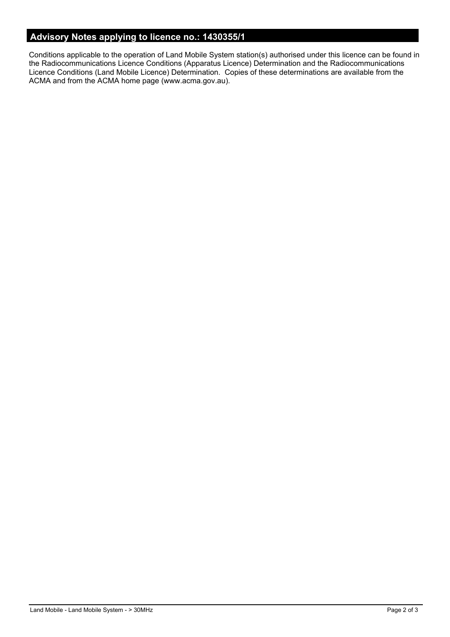# **Advisory Notes applying to licence no.: 1430355/1**

Conditions applicable to the operation of Land Mobile System station(s) authorised under this licence can be found in the Radiocommunications Licence Conditions (Apparatus Licence) Determination and the Radiocommunications Licence Conditions (Land Mobile Licence) Determination. Copies of these determinations are available from the ACMA and from the ACMA home page (www.acma.gov.au).